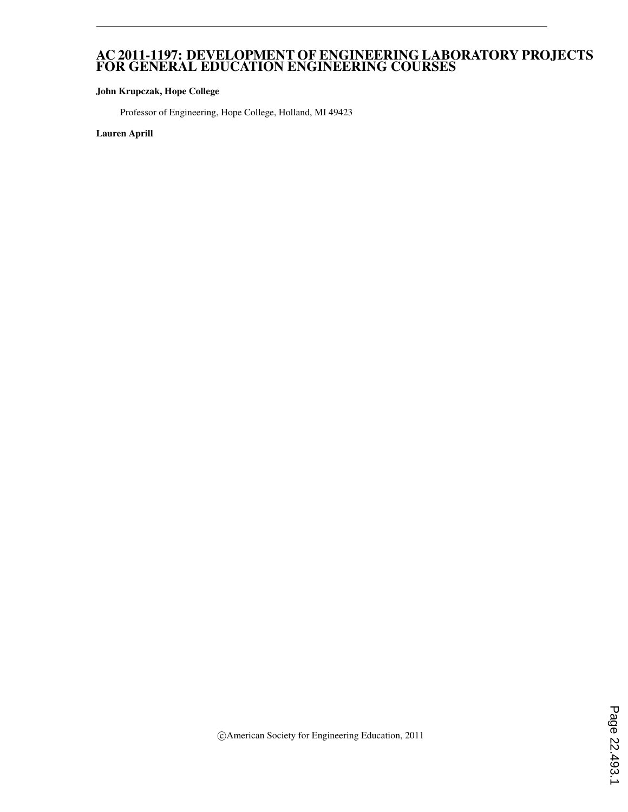#### AC 2011-1197: DEVELOPMENT OF ENGINEERING LABORATORY PROJECTS FOR GENERAL EDUCATION ENGINEERING COURSES

#### John Krupczak, Hope College

Professor of Engineering, Hope College, Holland, MI 49423

Lauren Aprill

c American Society for Engineering Education, 2011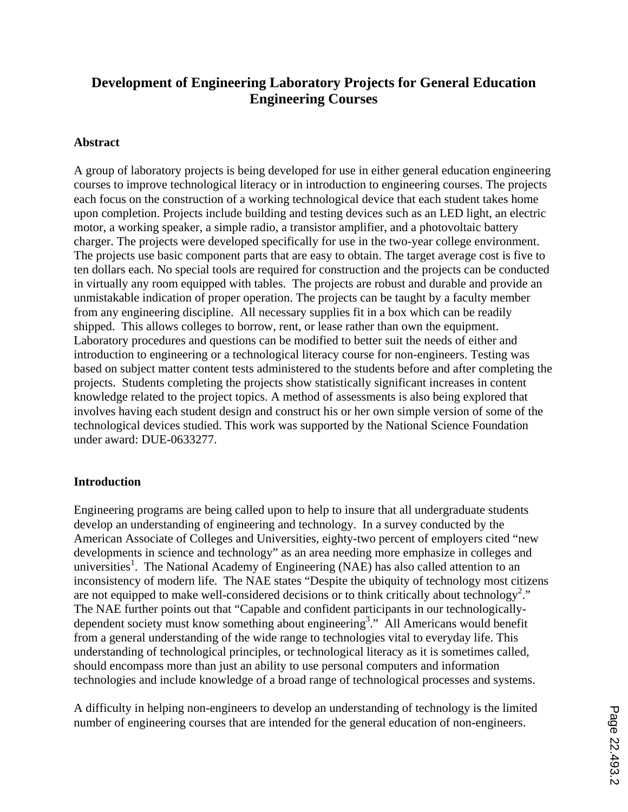# **Development of Engineering Laboratory Projects for General Education Engineering Courses**

### **Abstract**

A group of laboratory projects is being developed for use in either general education engineering courses to improve technological literacy or in introduction to engineering courses. The projects each focus on the construction of a working technological device that each student takes home upon completion. Projects include building and testing devices such as an LED light, an electric motor, a working speaker, a simple radio, a transistor amplifier, and a photovoltaic battery charger. The projects were developed specifically for use in the two-year college environment. The projects use basic component parts that are easy to obtain. The target average cost is five to ten dollars each. No special tools are required for construction and the projects can be conducted in virtually any room equipped with tables. The projects are robust and durable and provide an unmistakable indication of proper operation. The projects can be taught by a faculty member from any engineering discipline. All necessary supplies fit in a box which can be readily shipped. This allows colleges to borrow, rent, or lease rather than own the equipment. Laboratory procedures and questions can be modified to better suit the needs of either and introduction to engineering or a technological literacy course for non-engineers. Testing was based on subject matter content tests administered to the students before and after completing the projects. Students completing the projects show statistically significant increases in content knowledge related to the project topics. A method of assessments is also being explored that involves having each student design and construct his or her own simple version of some of the technological devices studied. This work was supported by the National Science Foundation under award: DUE-0633277.

#### **Introduction**

Engineering programs are being called upon to help to insure that all undergraduate students develop an understanding of engineering and technology. In a survey conducted by the American Associate of Colleges and Universities, eighty-two percent of employers cited "new developments in science and technology" as an area needing more emphasize in colleges and universities<sup>1</sup>. The National Academy of Engineering (NAE) has also called attention to an inconsistency of modern life. The NAE states "Despite the ubiquity of technology most citizens are not equipped to make well-considered decisions or to think critically about technology<sup>2</sup>." The NAE further points out that "Capable and confident participants in our technologicallydependent society must know something about engineering<sup>3</sup>." All Americans would benefit from a general understanding of the wide range to technologies vital to everyday life. This understanding of technological principles, or technological literacy as it is sometimes called, should encompass more than just an ability to use personal computers and information technologies and include knowledge of a broad range of technological processes and systems.

A difficulty in helping non-engineers to develop an understanding of technology is the limited number of engineering courses that are intended for the general education of non-engineers.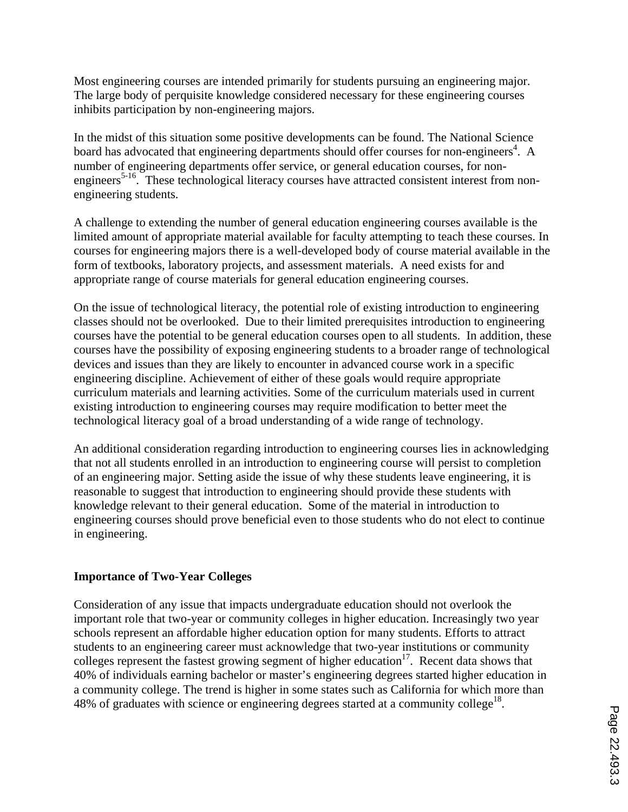Most engineering courses are intended primarily for students pursuing an engineering major. The large body of perquisite knowledge considered necessary for these engineering courses inhibits participation by non-engineering majors.

In the midst of this situation some positive developments can be found. The National Science board has advocated that engineering departments should offer courses for non-engineers<sup>4</sup>. A number of engineering departments offer service, or general education courses, for nonengineers<sup>5-16</sup>. These technological literacy courses have attracted consistent interest from nonengineering students.

A challenge to extending the number of general education engineering courses available is the limited amount of appropriate material available for faculty attempting to teach these courses. In courses for engineering majors there is a well-developed body of course material available in the form of textbooks, laboratory projects, and assessment materials. A need exists for and appropriate range of course materials for general education engineering courses.

On the issue of technological literacy, the potential role of existing introduction to engineering classes should not be overlooked. Due to their limited prerequisites introduction to engineering courses have the potential to be general education courses open to all students. In addition, these courses have the possibility of exposing engineering students to a broader range of technological devices and issues than they are likely to encounter in advanced course work in a specific engineering discipline. Achievement of either of these goals would require appropriate curriculum materials and learning activities. Some of the curriculum materials used in current existing introduction to engineering courses may require modification to better meet the technological literacy goal of a broad understanding of a wide range of technology.

An additional consideration regarding introduction to engineering courses lies in acknowledging that not all students enrolled in an introduction to engineering course will persist to completion of an engineering major. Setting aside the issue of why these students leave engineering, it is reasonable to suggest that introduction to engineering should provide these students with knowledge relevant to their general education. Some of the material in introduction to engineering courses should prove beneficial even to those students who do not elect to continue in engineering.

#### **Importance of Two-Year Colleges**

Consideration of any issue that impacts undergraduate education should not overlook the important role that two-year or community colleges in higher education. Increasingly two year schools represent an affordable higher education option for many students. Efforts to attract students to an engineering career must acknowledge that two-year institutions or community colleges represent the fastest growing segment of higher education<sup>17</sup>. Recent data shows that 40% of individuals earning bachelor or master's engineering degrees started higher education in a community college. The trend is higher in some states such as California for which more than 48% of graduates with science or engineering degrees started at a community college<sup>18</sup>.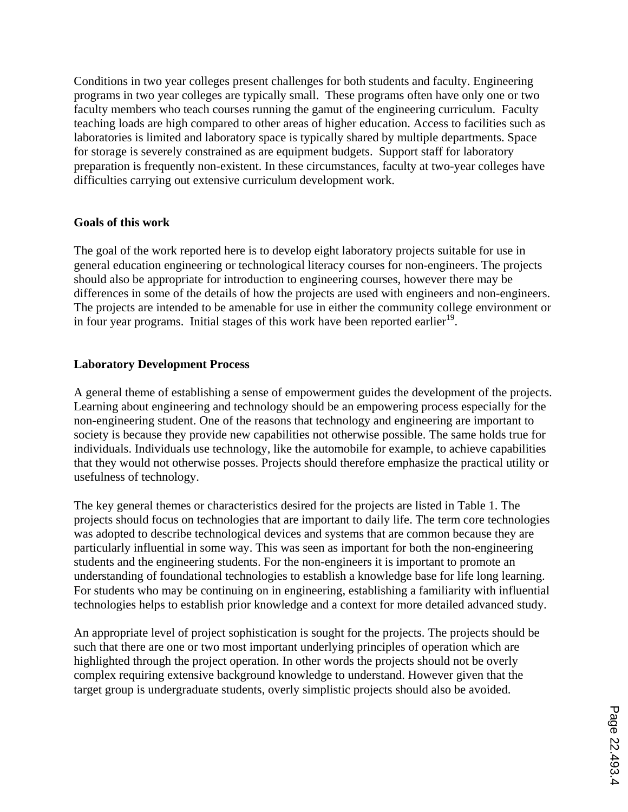Conditions in two year colleges present challenges for both students and faculty. Engineering programs in two year colleges are typically small. These programs often have only one or two faculty members who teach courses running the gamut of the engineering curriculum. Faculty teaching loads are high compared to other areas of higher education. Access to facilities such as laboratories is limited and laboratory space is typically shared by multiple departments. Space for storage is severely constrained as are equipment budgets. Support staff for laboratory preparation is frequently non-existent. In these circumstances, faculty at two-year colleges have difficulties carrying out extensive curriculum development work.

#### **Goals of this work**

The goal of the work reported here is to develop eight laboratory projects suitable for use in general education engineering or technological literacy courses for non-engineers. The projects should also be appropriate for introduction to engineering courses, however there may be differences in some of the details of how the projects are used with engineers and non-engineers. The projects are intended to be amenable for use in either the community college environment or in four year programs. Initial stages of this work have been reported earlier<sup>19</sup>.

#### **Laboratory Development Process**

A general theme of establishing a sense of empowerment guides the development of the projects. Learning about engineering and technology should be an empowering process especially for the non-engineering student. One of the reasons that technology and engineering are important to society is because they provide new capabilities not otherwise possible. The same holds true for individuals. Individuals use technology, like the automobile for example, to achieve capabilities that they would not otherwise posses. Projects should therefore emphasize the practical utility or usefulness of technology.

The key general themes or characteristics desired for the projects are listed in Table 1. The projects should focus on technologies that are important to daily life. The term core technologies was adopted to describe technological devices and systems that are common because they are particularly influential in some way. This was seen as important for both the non-engineering students and the engineering students. For the non-engineers it is important to promote an understanding of foundational technologies to establish a knowledge base for life long learning. For students who may be continuing on in engineering, establishing a familiarity with influential technologies helps to establish prior knowledge and a context for more detailed advanced study.

An appropriate level of project sophistication is sought for the projects. The projects should be such that there are one or two most important underlying principles of operation which are highlighted through the project operation. In other words the projects should not be overly complex requiring extensive background knowledge to understand. However given that the target group is undergraduate students, overly simplistic projects should also be avoided.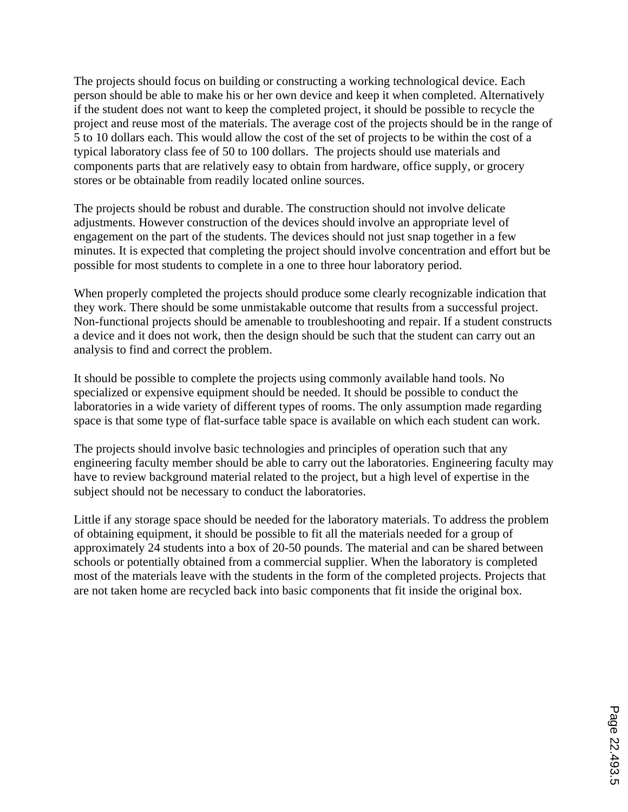The projects should focus on building or constructing a working technological device. Each person should be able to make his or her own device and keep it when completed. Alternatively if the student does not want to keep the completed project, it should be possible to recycle the project and reuse most of the materials. The average cost of the projects should be in the range of 5 to 10 dollars each. This would allow the cost of the set of projects to be within the cost of a typical laboratory class fee of 50 to 100 dollars. The projects should use materials and components parts that are relatively easy to obtain from hardware, office supply, or grocery stores or be obtainable from readily located online sources.

The projects should be robust and durable. The construction should not involve delicate adjustments. However construction of the devices should involve an appropriate level of engagement on the part of the students. The devices should not just snap together in a few minutes. It is expected that completing the project should involve concentration and effort but be possible for most students to complete in a one to three hour laboratory period.

When properly completed the projects should produce some clearly recognizable indication that they work. There should be some unmistakable outcome that results from a successful project. Non-functional projects should be amenable to troubleshooting and repair. If a student constructs a device and it does not work, then the design should be such that the student can carry out an analysis to find and correct the problem.

It should be possible to complete the projects using commonly available hand tools. No specialized or expensive equipment should be needed. It should be possible to conduct the laboratories in a wide variety of different types of rooms. The only assumption made regarding space is that some type of flat-surface table space is available on which each student can work.

The projects should involve basic technologies and principles of operation such that any engineering faculty member should be able to carry out the laboratories. Engineering faculty may have to review background material related to the project, but a high level of expertise in the subject should not be necessary to conduct the laboratories.

Little if any storage space should be needed for the laboratory materials. To address the problem of obtaining equipment, it should be possible to fit all the materials needed for a group of approximately 24 students into a box of 20-50 pounds. The material and can be shared between schools or potentially obtained from a commercial supplier. When the laboratory is completed most of the materials leave with the students in the form of the completed projects. Projects that are not taken home are recycled back into basic components that fit inside the original box.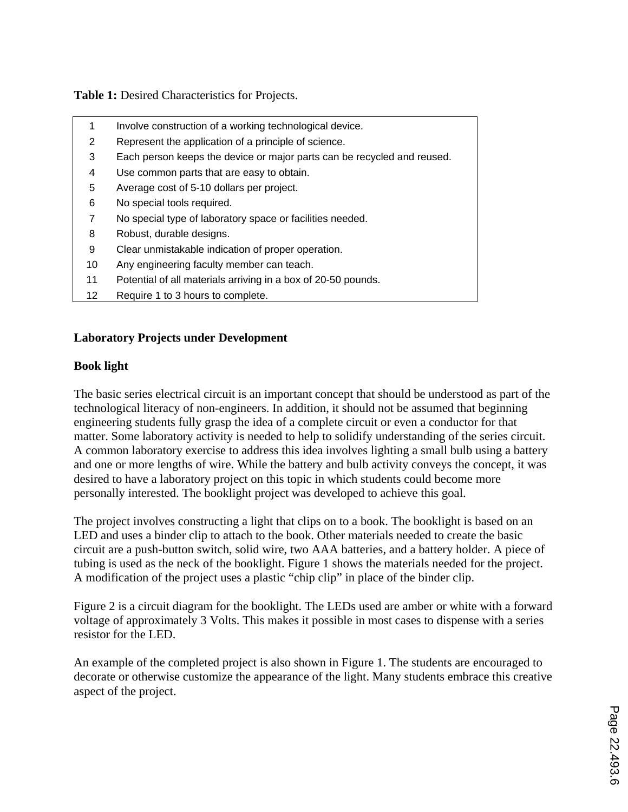**Table 1:** Desired Characteristics for Projects.

| 1  | Involve construction of a working technological device.                 |
|----|-------------------------------------------------------------------------|
| 2  | Represent the application of a principle of science.                    |
| 3  | Each person keeps the device or major parts can be recycled and reused. |
| 4  | Use common parts that are easy to obtain.                               |
| 5  | Average cost of 5-10 dollars per project.                               |
| 6  | No special tools required.                                              |
| 7  | No special type of laboratory space or facilities needed.               |
| 8  | Robust, durable designs.                                                |
| 9  | Clear unmistakable indication of proper operation.                      |
| 10 | Any engineering faculty member can teach.                               |
| 11 | Potential of all materials arriving in a box of 20-50 pounds.           |
| 12 | Require 1 to 3 hours to complete.                                       |

### **Laboratory Projects under Development**

## **Book light**

The basic series electrical circuit is an important concept that should be understood as part of the technological literacy of non-engineers. In addition, it should not be assumed that beginning engineering students fully grasp the idea of a complete circuit or even a conductor for that matter. Some laboratory activity is needed to help to solidify understanding of the series circuit. A common laboratory exercise to address this idea involves lighting a small bulb using a battery and one or more lengths of wire. While the battery and bulb activity conveys the concept, it was desired to have a laboratory project on this topic in which students could become more personally interested. The booklight project was developed to achieve this goal.

The project involves constructing a light that clips on to a book. The booklight is based on an LED and uses a binder clip to attach to the book. Other materials needed to create the basic circuit are a push-button switch, solid wire, two AAA batteries, and a battery holder. A piece of tubing is used as the neck of the booklight. Figure 1 shows the materials needed for the project. A modification of the project uses a plastic "chip clip" in place of the binder clip.

Figure 2 is a circuit diagram for the booklight. The LEDs used are amber or white with a forward voltage of approximately 3 Volts. This makes it possible in most cases to dispense with a series resistor for the LED.

An example of the completed project is also shown in Figure 1. The students are encouraged to decorate or otherwise customize the appearance of the light. Many students embrace this creative aspect of the project.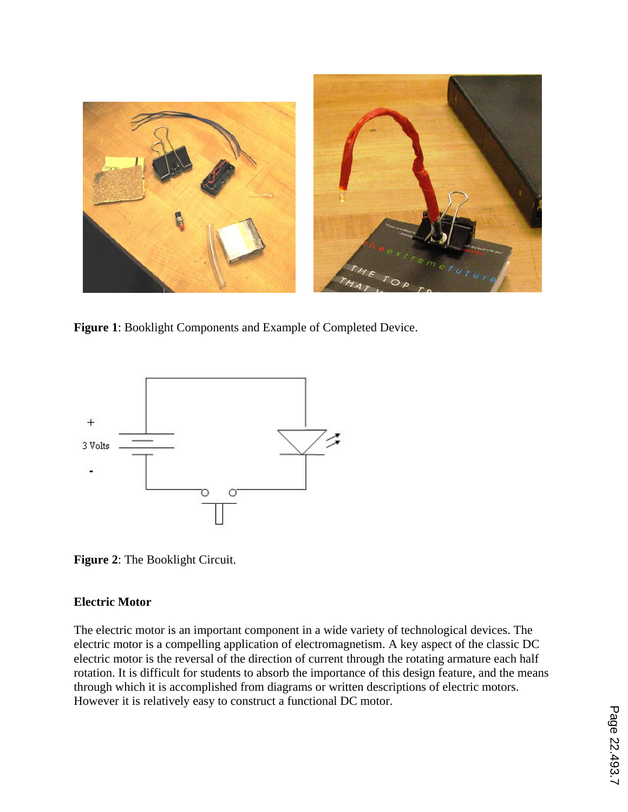

**Figure 1**: Booklight Components and Example of Completed Device.



**Figure 2**: The Booklight Circuit.

### **Electric Motor**

The electric motor is an important component in a wide variety of technological devices. The electric motor is a compelling application of electromagnetism. A key aspect of the classic DC electric motor is the reversal of the direction of current through the rotating armature each half rotation. It is difficult for students to absorb the importance of this design feature, and the means through which it is accomplished from diagrams or written descriptions of electric motors. However it is relatively easy to construct a functional DC motor.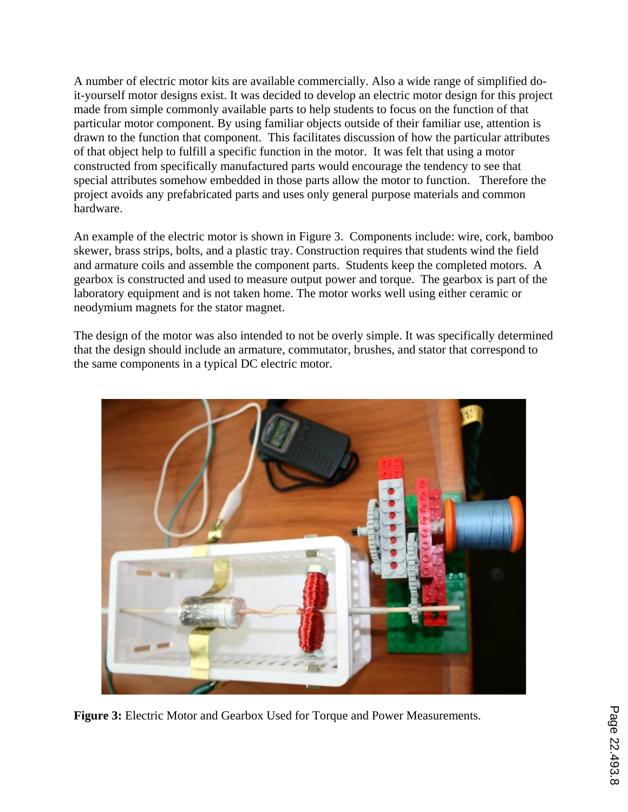A number of electric motor kits are available commercially. Also a wide range of simplified doit-yourself motor designs exist. It was decided to develop an electric motor design for this project made from simple commonly available parts to help students to focus on the function of that particular motor component. By using familiar objects outside of their familiar use, attention is drawn to the function that component. This facilitates discussion of how the particular attributes of that object help to fulfill a specific function in the motor. It was felt that using a motor constructed from specifically manufactured parts would encourage the tendency to see that special attributes somehow embedded in those parts allow the motor to function. Therefore the project avoids any prefabricated parts and uses only general purpose materials and common hardware.

An example of the electric motor is shown in Figure 3. Components include: wire, cork, bamboo skewer, brass strips, bolts, and a plastic tray. Construction requires that students wind the field and armature coils and assemble the component parts. Students keep the completed motors. A gearbox is constructed and used to measure output power and torque. The gearbox is part of the laboratory equipment and is not taken home. The motor works well using either ceramic or neodymium magnets for the stator magnet.

The design of the motor was also intended to not be overly simple. It was specifically determined that the design should include an armature, commutator, brushes, and stator that correspond to the same components in a typical DC electric motor.



**Figure 3:** Electric Motor and Gearbox Used for Torque and Power Measurements.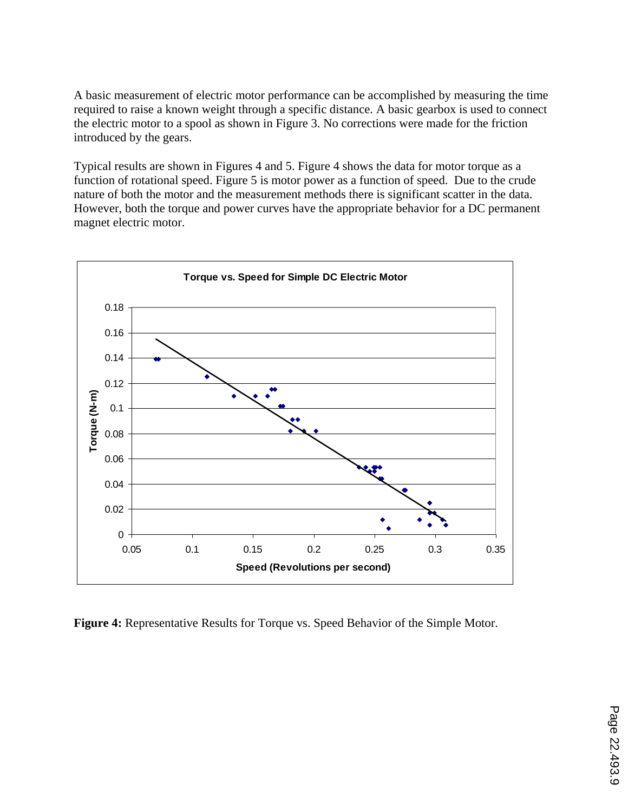A basic measurement of electric motor performance can be accomplished by measuring the time required to raise a known weight through a specific distance. A basic gearbox is used to connect the electric motor to a spool as shown in Figure 3. No corrections were made for the friction introduced by the gears.

Typical results are shown in Figures 4 and 5. Figure 4 shows the data for motor torque as a function of rotational speed. Figure 5 is motor power as a function of speed. Due to the crude nature of both the motor and the measurement methods there is significant scatter in the data. However, both the torque and power curves have the appropriate behavior for a DC permanent magnet electric motor.



**Figure 4:** Representative Results for Torque vs. Speed Behavior of the Simple Motor.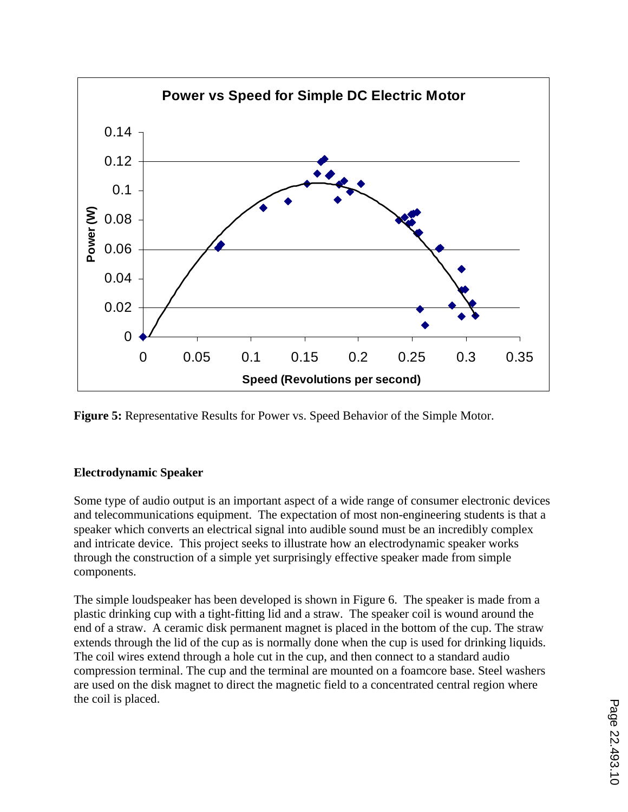

**Figure 5:** Representative Results for Power vs. Speed Behavior of the Simple Motor.

### **Electrodynamic Speaker**

Some type of audio output is an important aspect of a wide range of consumer electronic devices and telecommunications equipment. The expectation of most non-engineering students is that a speaker which converts an electrical signal into audible sound must be an incredibly complex and intricate device. This project seeks to illustrate how an electrodynamic speaker works through the construction of a simple yet surprisingly effective speaker made from simple components.

The simple loudspeaker has been developed is shown in Figure 6. The speaker is made from a plastic drinking cup with a tight-fitting lid and a straw. The speaker coil is wound around the end of a straw. A ceramic disk permanent magnet is placed in the bottom of the cup. The straw extends through the lid of the cup as is normally done when the cup is used for drinking liquids. The coil wires extend through a hole cut in the cup, and then connect to a standard audio compression terminal. The cup and the terminal are mounted on a foamcore base. Steel washers are used on the disk magnet to direct the magnetic field to a concentrated central region where the coil is placed.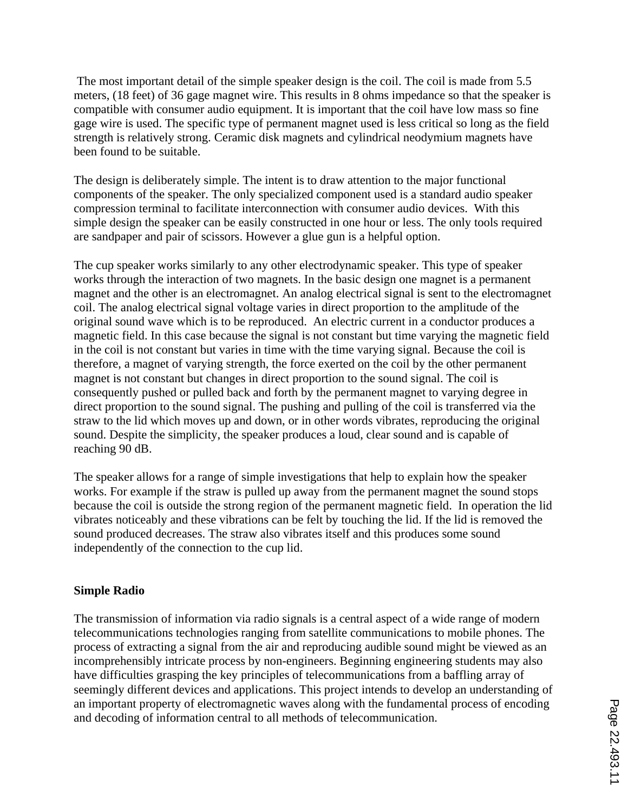The most important detail of the simple speaker design is the coil. The coil is made from 5.5 meters, (18 feet) of 36 gage magnet wire. This results in 8 ohms impedance so that the speaker is compatible with consumer audio equipment. It is important that the coil have low mass so fine gage wire is used. The specific type of permanent magnet used is less critical so long as the field strength is relatively strong. Ceramic disk magnets and cylindrical neodymium magnets have been found to be suitable.

The design is deliberately simple. The intent is to draw attention to the major functional components of the speaker. The only specialized component used is a standard audio speaker compression terminal to facilitate interconnection with consumer audio devices. With this simple design the speaker can be easily constructed in one hour or less. The only tools required are sandpaper and pair of scissors. However a glue gun is a helpful option.

The cup speaker works similarly to any other electrodynamic speaker. This type of speaker works through the interaction of two magnets. In the basic design one magnet is a permanent magnet and the other is an electromagnet. An analog electrical signal is sent to the electromagnet coil. The analog electrical signal voltage varies in direct proportion to the amplitude of the original sound wave which is to be reproduced. An electric current in a conductor produces a magnetic field. In this case because the signal is not constant but time varying the magnetic field in the coil is not constant but varies in time with the time varying signal. Because the coil is therefore, a magnet of varying strength, the force exerted on the coil by the other permanent magnet is not constant but changes in direct proportion to the sound signal. The coil is consequently pushed or pulled back and forth by the permanent magnet to varying degree in direct proportion to the sound signal. The pushing and pulling of the coil is transferred via the straw to the lid which moves up and down, or in other words vibrates, reproducing the original sound. Despite the simplicity, the speaker produces a loud, clear sound and is capable of reaching 90 dB.

The speaker allows for a range of simple investigations that help to explain how the speaker works. For example if the straw is pulled up away from the permanent magnet the sound stops because the coil is outside the strong region of the permanent magnetic field. In operation the lid vibrates noticeably and these vibrations can be felt by touching the lid. If the lid is removed the sound produced decreases. The straw also vibrates itself and this produces some sound independently of the connection to the cup lid.

#### **Simple Radio**

The transmission of information via radio signals is a central aspect of a wide range of modern telecommunications technologies ranging from satellite communications to mobile phones. The process of extracting a signal from the air and reproducing audible sound might be viewed as an incomprehensibly intricate process by non-engineers. Beginning engineering students may also have difficulties grasping the key principles of telecommunications from a baffling array of seemingly different devices and applications. This project intends to develop an understanding of an important property of electromagnetic waves along with the fundamental process of encoding and decoding of information central to all methods of telecommunication.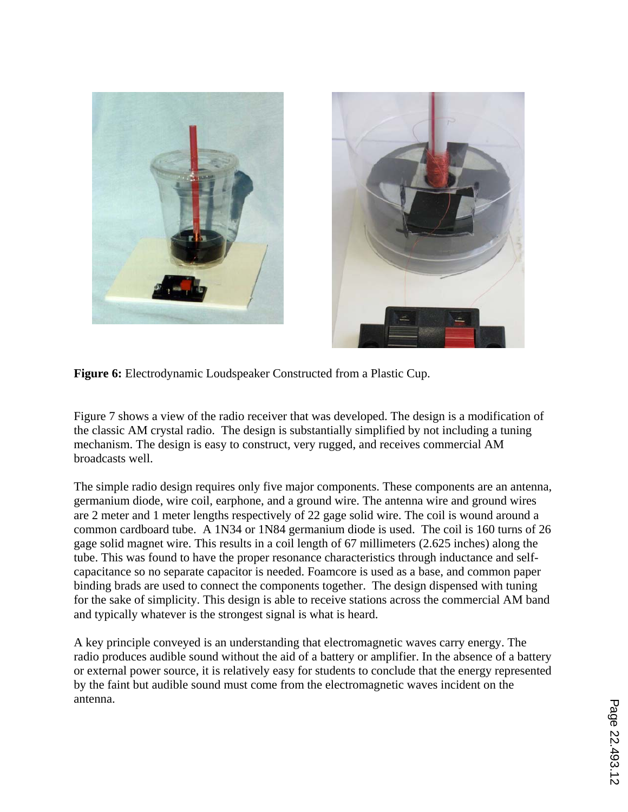



**Figure 6:** Electrodynamic Loudspeaker Constructed from a Plastic Cup.

Figure 7 shows a view of the radio receiver that was developed. The design is a modification of the classic AM crystal radio. The design is substantially simplified by not including a tuning mechanism. The design is easy to construct, very rugged, and receives commercial AM broadcasts well.

The simple radio design requires only five major components. These components are an antenna, germanium diode, wire coil, earphone, and a ground wire. The antenna wire and ground wires are 2 meter and 1 meter lengths respectively of 22 gage solid wire. The coil is wound around a common cardboard tube. A 1N34 or 1N84 germanium diode is used. The coil is 160 turns of 26 gage solid magnet wire. This results in a coil length of 67 millimeters (2.625 inches) along the tube. This was found to have the proper resonance characteristics through inductance and selfcapacitance so no separate capacitor is needed. Foamcore is used as a base, and common paper binding brads are used to connect the components together. The design dispensed with tuning for the sake of simplicity. This design is able to receive stations across the commercial AM band and typically whatever is the strongest signal is what is heard.

A key principle conveyed is an understanding that electromagnetic waves carry energy. The radio produces audible sound without the aid of a battery or amplifier. In the absence of a battery or external power source, it is relatively easy for students to conclude that the energy represented by the faint but audible sound must come from the electromagnetic waves incident on the antenna.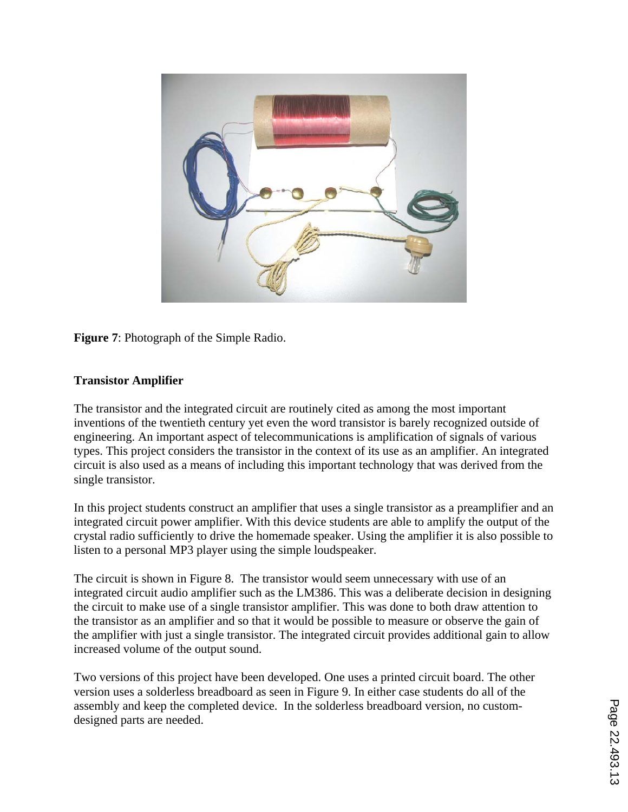

**Figure 7**: Photograph of the Simple Radio.

## **Transistor Amplifier**

The transistor and the integrated circuit are routinely cited as among the most important inventions of the twentieth century yet even the word transistor is barely recognized outside of engineering. An important aspect of telecommunications is amplification of signals of various types. This project considers the transistor in the context of its use as an amplifier. An integrated circuit is also used as a means of including this important technology that was derived from the single transistor.

In this project students construct an amplifier that uses a single transistor as a preamplifier and an integrated circuit power amplifier. With this device students are able to amplify the output of the crystal radio sufficiently to drive the homemade speaker. Using the amplifier it is also possible to listen to a personal MP3 player using the simple loudspeaker.

The circuit is shown in Figure 8. The transistor would seem unnecessary with use of an integrated circuit audio amplifier such as the LM386. This was a deliberate decision in designing the circuit to make use of a single transistor amplifier. This was done to both draw attention to the transistor as an amplifier and so that it would be possible to measure or observe the gain of the amplifier with just a single transistor. The integrated circuit provides additional gain to allow increased volume of the output sound.

Two versions of this project have been developed. One uses a printed circuit board. The other version uses a solderless breadboard as seen in Figure 9. In either case students do all of the assembly and keep the completed device. In the solderless breadboard version, no customdesigned parts are needed.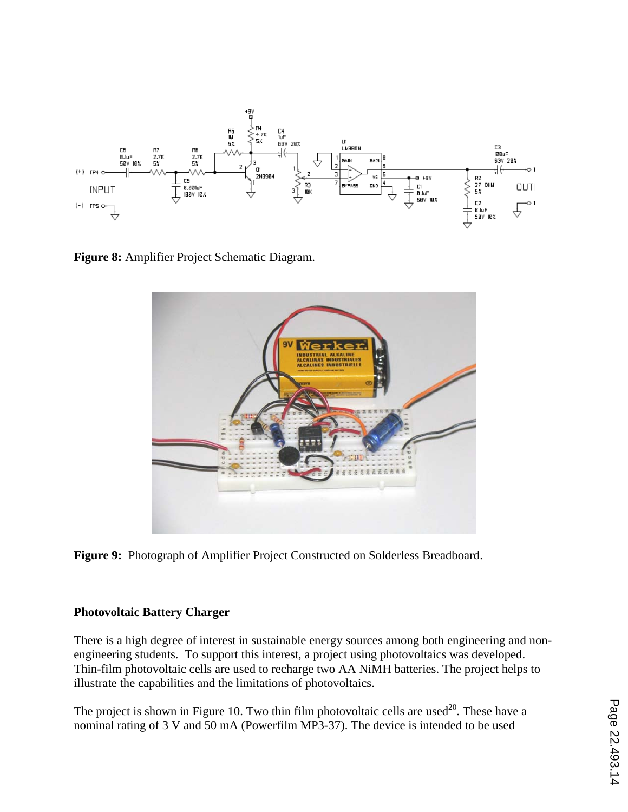

**Figure 8:** Amplifier Project Schematic Diagram.



**Figure 9:** Photograph of Amplifier Project Constructed on Solderless Breadboard.

### **Photovoltaic Battery Charger**

There is a high degree of interest in sustainable energy sources among both engineering and nonengineering students. To support this interest, a project using photovoltaics was developed. Thin-film photovoltaic cells are used to recharge two AA NiMH batteries. The project helps to illustrate the capabilities and the limitations of photovoltaics.

The project is shown in Figure 10. Two thin film photovoltaic cells are used<sup>20</sup>. These have a nominal rating of 3 V and 50 mA (Powerfilm MP3-37). The device is intended to be used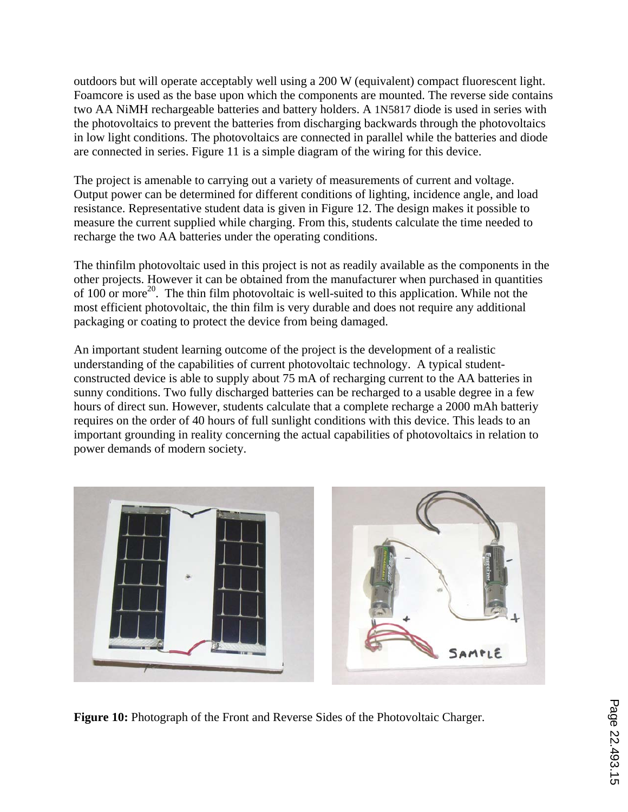outdoors but will operate acceptably well using a 200 W (equivalent) compact fluorescent light. Foamcore is used as the base upon which the components are mounted. The reverse side contains two AA NiMH rechargeable batteries and battery holders. A 1N5817 diode is used in series with the photovoltaics to prevent the batteries from discharging backwards through the photovoltaics in low light conditions. The photovoltaics are connected in parallel while the batteries and diode are connected in series. Figure 11 is a simple diagram of the wiring for this device.

The project is amenable to carrying out a variety of measurements of current and voltage. Output power can be determined for different conditions of lighting, incidence angle, and load resistance. Representative student data is given in Figure 12. The design makes it possible to measure the current supplied while charging. From this, students calculate the time needed to recharge the two AA batteries under the operating conditions.

The thinfilm photovoltaic used in this project is not as readily available as the components in the other projects. However it can be obtained from the manufacturer when purchased in quantities of 100 or more<sup>20</sup>. The thin film photovoltaic is well-suited to this application. While not the most efficient photovoltaic, the thin film is very durable and does not require any additional packaging or coating to protect the device from being damaged.

An important student learning outcome of the project is the development of a realistic understanding of the capabilities of current photovoltaic technology. A typical studentconstructed device is able to supply about 75 mA of recharging current to the AA batteries in sunny conditions. Two fully discharged batteries can be recharged to a usable degree in a few hours of direct sun. However, students calculate that a complete recharge a 2000 mAh batteriy requires on the order of 40 hours of full sunlight conditions with this device. This leads to an important grounding in reality concerning the actual capabilities of photovoltaics in relation to power demands of modern society.



**Figure 10:** Photograph of the Front and Reverse Sides of the Photovoltaic Charger.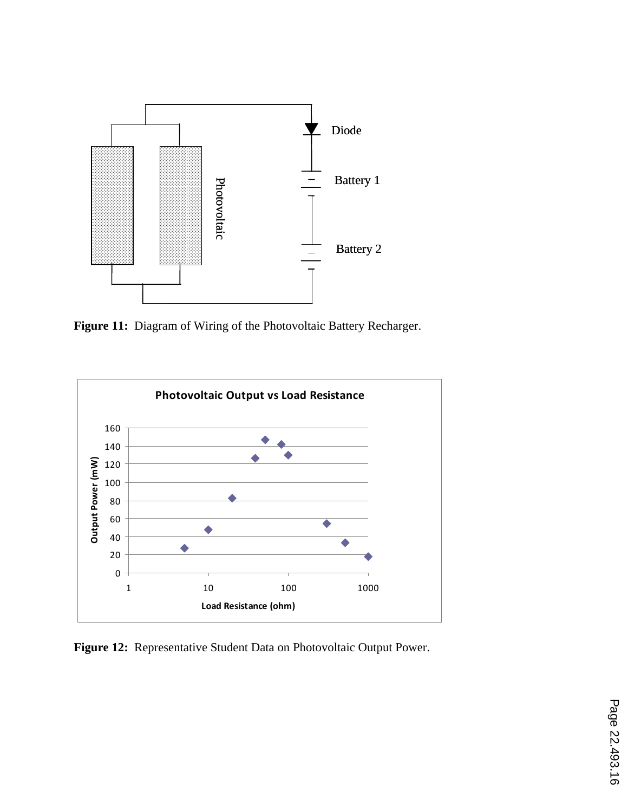

**Figure 11:** Diagram of Wiring of the Photovoltaic Battery Recharger.



**Figure 12:** Representative Student Data on Photovoltaic Output Power.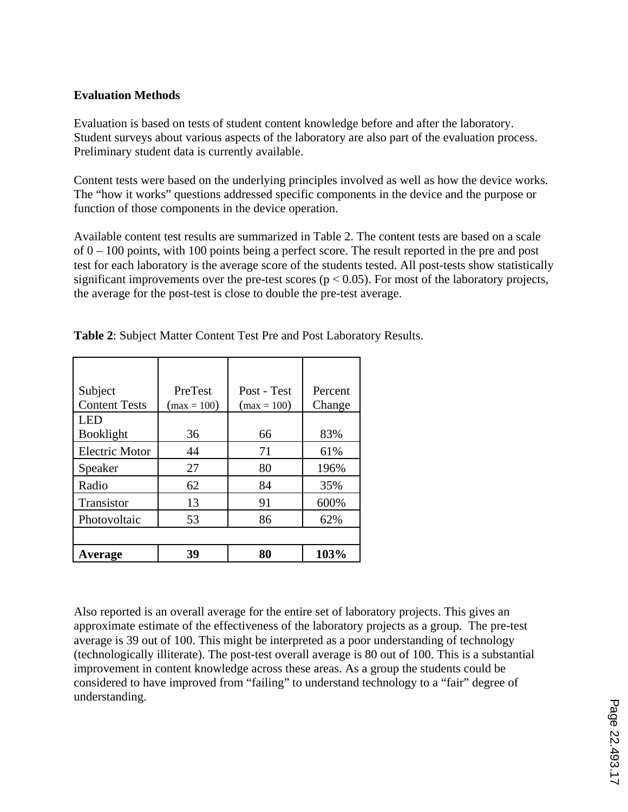### **Evaluation Methods**

Evaluation is based on tests of student content knowledge before and after the laboratory. Student surveys about various aspects of the laboratory are also part of the evaluation process. Preliminary student data is currently available.

Content tests were based on the underlying principles involved as well as how the device works. The "how it works" questions addressed specific components in the device and the purpose or function of those components in the device operation.

Available content test results are summarized in Table 2. The content tests are based on a scale of 0 – 100 points, with 100 points being a perfect score. The result reported in the pre and post test for each laboratory is the average score of the students tested. All post-tests show statistically significant improvements over the pre-test scores ( $p < 0.05$ ). For most of the laboratory projects, the average for the post-test is close to double the pre-test average.

| Subject               | PreTest       | Post - Test   | Percent |  |  |
|-----------------------|---------------|---------------|---------|--|--|
| <b>Content Tests</b>  | $(max = 100)$ | $(max = 100)$ | Change  |  |  |
| I ED                  |               |               |         |  |  |
| <b>Booklight</b>      | 36            | 66            | 83%     |  |  |
| <b>Electric Motor</b> | 44            | 71            | 61%     |  |  |
| Speaker               | 27            | 80            | 196%    |  |  |
| Radio                 | 62            | 84            | 35%     |  |  |
| Transistor            | 13            | 91            | 600%    |  |  |
| Photovoltaic          | 53            | 86            | 62%     |  |  |
|                       |               |               |         |  |  |
| Average               | 39            | 80            | 103%    |  |  |

**Table 2**: Subject Matter Content Test Pre and Post Laboratory Results.

Also reported is an overall average for the entire set of laboratory projects. This gives an approximate estimate of the effectiveness of the laboratory projects as a group. The pre-test average is 39 out of 100. This might be interpreted as a poor understanding of technology (technologically illiterate). The post-test overall average is 80 out of 100. This is a substantial improvement in content knowledge across these areas. As a group the students could be considered to have improved from "failing" to understand technology to a "fair" degree of understanding.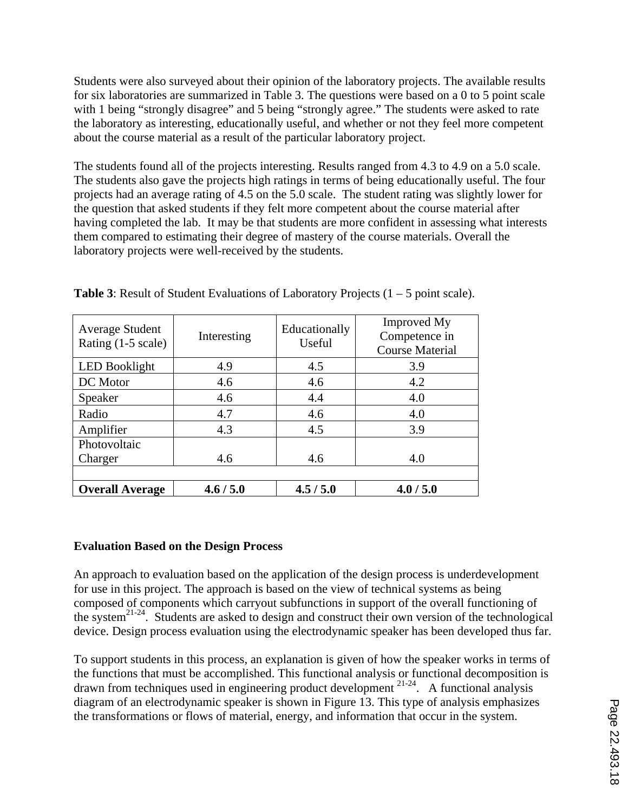Students were also surveyed about their opinion of the laboratory projects. The available results for six laboratories are summarized in Table 3. The questions were based on a 0 to 5 point scale with 1 being "strongly disagree" and 5 being "strongly agree." The students were asked to rate the laboratory as interesting, educationally useful, and whether or not they feel more competent about the course material as a result of the particular laboratory project.

The students found all of the projects interesting. Results ranged from 4.3 to 4.9 on a 5.0 scale. The students also gave the projects high ratings in terms of being educationally useful. The four projects had an average rating of 4.5 on the 5.0 scale. The student rating was slightly lower for the question that asked students if they felt more competent about the course material after having completed the lab. It may be that students are more confident in assessing what interests them compared to estimating their degree of mastery of the course materials. Overall the laboratory projects were well-received by the students.

| <b>Average Student</b><br>Rating $(1-5 \text{ scale})$ | Interesting | Educationally<br>Useful | <b>Improved My</b><br>Competence in<br><b>Course Material</b> |  |  |  |
|--------------------------------------------------------|-------------|-------------------------|---------------------------------------------------------------|--|--|--|
| <b>LED Booklight</b>                                   | 4.9         | 4.5                     | 3.9                                                           |  |  |  |
| DC Motor                                               | 4.6         | 4.6                     | 4.2                                                           |  |  |  |
| Speaker                                                | 4.6         | 4.4                     | 4.0                                                           |  |  |  |
| Radio                                                  | 4.7         | 4.6                     | 4.0                                                           |  |  |  |
| Amplifier                                              | 4.3         | 4.5                     | 3.9                                                           |  |  |  |
| Photovoltaic                                           |             |                         |                                                               |  |  |  |
| Charger                                                | 4.6         | 4.6                     | 4.0                                                           |  |  |  |
|                                                        |             |                         |                                                               |  |  |  |
| <b>Overall Average</b>                                 | 4.6 / 5.0   | 4.5/5.0                 | 4.0 / 5.0                                                     |  |  |  |

**Table 3:** Result of Student Evaluations of Laboratory Projects  $(1 – 5$  point scale).

### **Evaluation Based on the Design Process**

An approach to evaluation based on the application of the design process is underdevelopment for use in this project. The approach is based on the view of technical systems as being composed of components which carryout subfunctions in support of the overall functioning of the system<sup>21-24</sup>. Students are asked to design and construct their own version of the technological device. Design process evaluation using the electrodynamic speaker has been developed thus far.

To support students in this process, an explanation is given of how the speaker works in terms of the functions that must be accomplished. This functional analysis or functional decomposition is drawn from techniques used in engineering product development  $2^{1-24}$ . A functional analysis diagram of an electrodynamic speaker is shown in Figure 13. This type of analysis emphasizes the transformations or flows of material, energy, and information that occur in the system.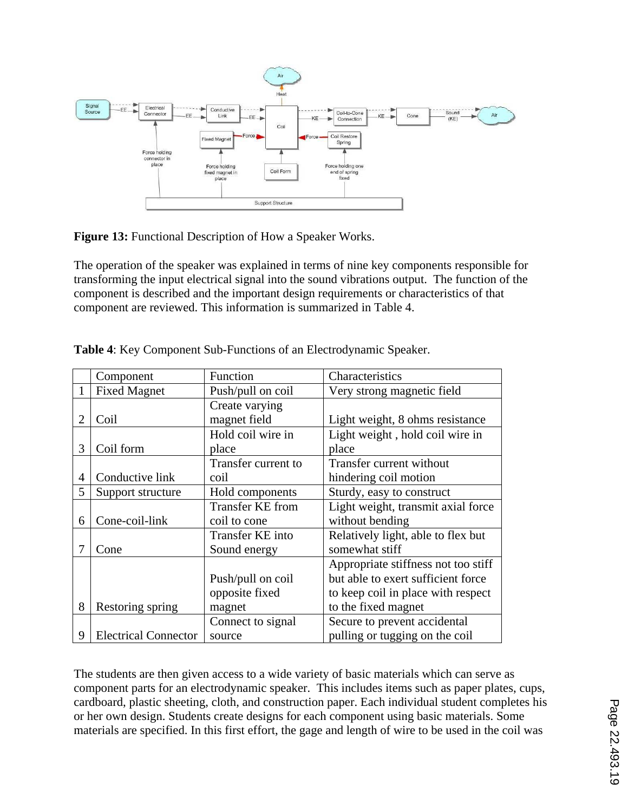

**Figure 13:** Functional Description of How a Speaker Works.

The operation of the speaker was explained in terms of nine key components responsible for transforming the input electrical signal into the sound vibrations output. The function of the component is described and the important design requirements or characteristics of that component are reviewed. This information is summarized in Table 4.

|                | Component                   | Function            | Characteristics                     |
|----------------|-----------------------------|---------------------|-------------------------------------|
|                | <b>Fixed Magnet</b>         | Push/pull on coil   | Very strong magnetic field          |
|                |                             | Create varying      |                                     |
| $\overline{2}$ | Coil                        | magnet field        | Light weight, 8 ohms resistance     |
|                |                             | Hold coil wire in   | Light weight, hold coil wire in     |
| 3              | Coil form                   | place               | place                               |
|                |                             | Transfer current to | Transfer current without            |
| $\overline{4}$ | Conductive link             | coil                | hindering coil motion               |
| 5              | Support structure           | Hold components     | Sturdy, easy to construct           |
|                |                             | Transfer KE from    | Light weight, transmit axial force  |
| 6              | Cone-coil-link              | coil to cone        | without bending                     |
|                |                             | Transfer KE into    | Relatively light, able to flex but  |
|                | Cone                        | Sound energy        | somewhat stiff                      |
|                |                             |                     | Appropriate stiffness not too stiff |
|                |                             | Push/pull on coil   | but able to exert sufficient force  |
|                |                             | opposite fixed      | to keep coil in place with respect  |
| 8              | Restoring spring            | magnet              | to the fixed magnet                 |
|                |                             | Connect to signal   | Secure to prevent accidental        |
| 9              | <b>Electrical Connector</b> | source              | pulling or tugging on the coil      |

**Table 4**: Key Component Sub-Functions of an Electrodynamic Speaker.

The students are then given access to a wide variety of basic materials which can serve as component parts for an electrodynamic speaker. This includes items such as paper plates, cups, cardboard, plastic sheeting, cloth, and construction paper. Each individual student completes his or her own design. Students create designs for each component using basic materials. Some materials are specified. In this first effort, the gage and length of wire to be used in the coil was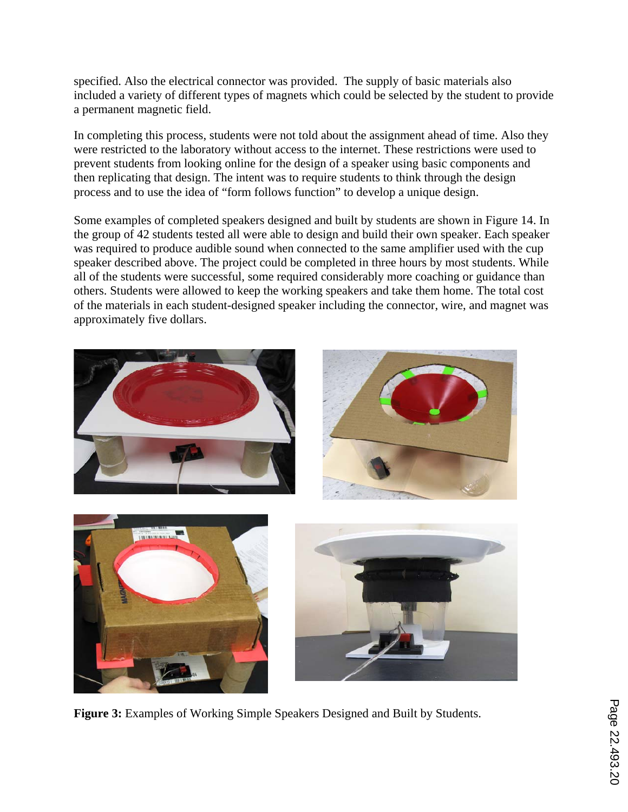specified. Also the electrical connector was provided. The supply of basic materials also included a variety of different types of magnets which could be selected by the student to provide a permanent magnetic field.

In completing this process, students were not told about the assignment ahead of time. Also they were restricted to the laboratory without access to the internet. These restrictions were used to prevent students from looking online for the design of a speaker using basic components and then replicating that design. The intent was to require students to think through the design process and to use the idea of "form follows function" to develop a unique design.

Some examples of completed speakers designed and built by students are shown in Figure 14. In the group of 42 students tested all were able to design and build their own speaker. Each speaker was required to produce audible sound when connected to the same amplifier used with the cup speaker described above. The project could be completed in three hours by most students. While all of the students were successful, some required considerably more coaching or guidance than others. Students were allowed to keep the working speakers and take them home. The total cost of the materials in each student-designed speaker including the connector, wire, and magnet was approximately five dollars.



**Figure 3:** Examples of Working Simple Speakers Designed and Built by Students.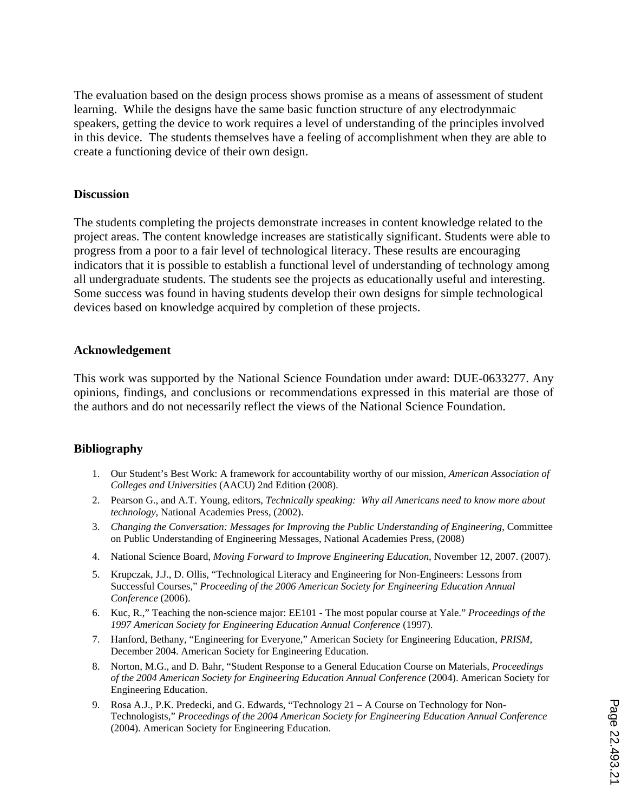The evaluation based on the design process shows promise as a means of assessment of student learning. While the designs have the same basic function structure of any electrodynmaic speakers, getting the device to work requires a level of understanding of the principles involved in this device. The students themselves have a feeling of accomplishment when they are able to create a functioning device of their own design.

#### **Discussion**

The students completing the projects demonstrate increases in content knowledge related to the project areas. The content knowledge increases are statistically significant. Students were able to progress from a poor to a fair level of technological literacy. These results are encouraging indicators that it is possible to establish a functional level of understanding of technology among all undergraduate students. The students see the projects as educationally useful and interesting. Some success was found in having students develop their own designs for simple technological devices based on knowledge acquired by completion of these projects.

#### **Acknowledgement**

This work was supported by the National Science Foundation under award: DUE-0633277. Any opinions, findings, and conclusions or recommendations expressed in this material are those of the authors and do not necessarily reflect the views of the National Science Foundation.

#### **Bibliography**

- 1. Our Student's Best Work: A framework for accountability worthy of our mission, *American Association of Colleges and Universities* (AACU) 2nd Edition (2008).
- 2. Pearson G., and A.T. Young, editors, *Technically speaking: Why all Americans need to know more about technology*, National Academies Press, (2002).
- 3. *Changing the Conversation: Messages for Improving the Public Understanding of Engineering*, Committee on Public Understanding of Engineering Messages, National Academies Press, (2008)
- 4. National Science Board, *Moving Forward to Improve Engineering Education*, November 12, 2007. (2007).
- 5. Krupczak, J.J., D. Ollis, "Technological Literacy and Engineering for Non-Engineers: Lessons from Successful Courses," *Proceeding of the 2006 American Society for Engineering Education Annual Conference* (2006).
- 6. Kuc, R.," Teaching the non-science major: EE101 The most popular course at Yale." *Proceedings of the 1997 American Society for Engineering Education Annual Conference* (1997).
- 7. Hanford, Bethany, "Engineering for Everyone," American Society for Engineering Education, *PRISM*, December 2004. American Society for Engineering Education.
- 8. Norton, M.G., and D. Bahr, "Student Response to a General Education Course on Materials, *Proceedings of the 2004 American Society for Engineering Education Annual Conference* (2004). American Society for Engineering Education.
- 9. Rosa A.J., P.K. Predecki, and G. Edwards, "Technology 21 A Course on Technology for Non-Technologists," *Proceedings of the 2004 American Society for Engineering Education Annual Conference* (2004). American Society for Engineering Education.